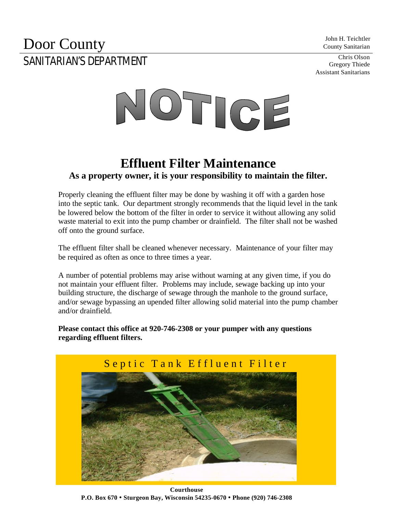County Sanitarian

Gregory Thiede Assistant Sanitarians

## **Door County** John H. Teichtler County Sanitarian SANITARIAN'S DEPARTMENT



## **Effluent Filter Maintenance As a property owner, it is your responsibility to maintain the filter.**

Properly cleaning the effluent filter may be done by washing it off with a garden hose into the septic tank. Our department strongly recommends that the liquid level in the tank be lowered below the bottom of the filter in order to service it without allowing any solid waste material to exit into the pump chamber or drainfield. The filter shall not be washed off onto the ground surface.

The effluent filter shall be cleaned whenever necessary. Maintenance of your filter may be required as often as once to three times a year.

A number of potential problems may arise without warning at any given time, if you do not maintain your effluent filter. Problems may include, sewage backing up into your building structure, the discharge of sewage through the manhole to the ground surface, and/or sewage bypassing an upended filter allowing solid material into the pump chamber and/or drainfield.

**Please contact this office at 920-746-2308 or your pumper with any questions regarding effluent filters.**